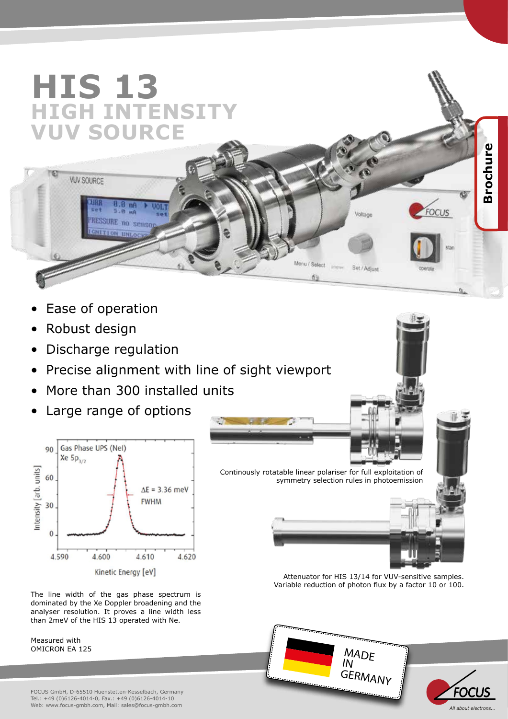## **HIS 13 HIGH INTENSITY VUV SOURCE**

 $B.R$  me

RESSURE no senso **CHITION UNLO** 

- Ease of operation
- Robust design

**VUV SOURCE** 

- Discharge regulation
- Precise alignment with line of sight viewport
- More than 300 installed units
- Large range of options



The line width of the gas phase spectrum is dominated by the Xe Doppler broadening and the analyser resolution. It proves a line width less than 2meV of the HIS 13 operated with Ne.

Measured with OMICRON EA 125





Attenuator for HIS 13/14 for VUV-sensitive samples. Variable reduction of photon flux by a factor 10 or 100.





**Brochure Brochure**

Ø

**FOCUS** 

Voltage

Set / Adjust

Menu / Select

面

**John**